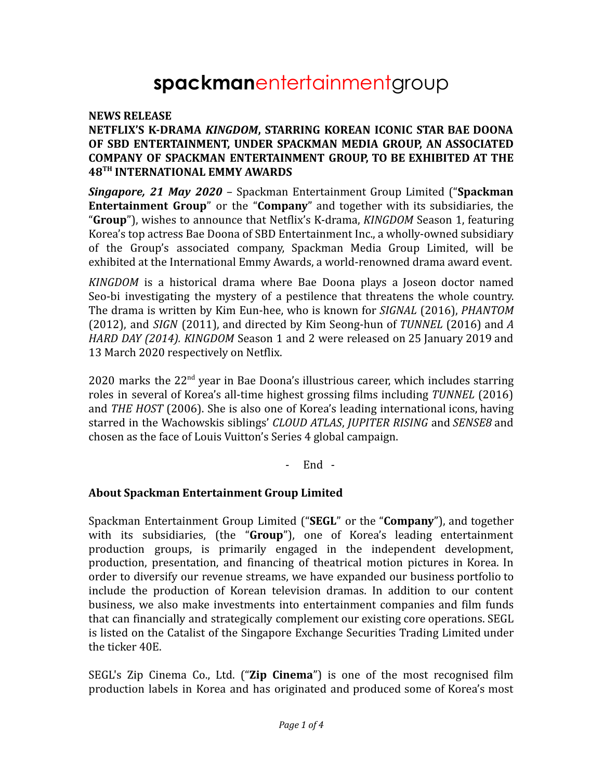# **spackman**entertainmentgroup

#### **NEWS RELEASE**

### **NETFLIX'S K-DRAMA** *KINGDOM***, STARRING KOREAN ICONIC STAR BAE DOONA OF SBD ENTERTAINMENT, UNDER SPACKMAN MEDIA GROUP, AN ASSOCIATED COMPANY OF SPACKMAN ENTERTAINMENT GROUP, TO BE EXHIBITED AT THE 48TH INTERNATIONAL EMMY AWARDS**

*Singapore, 21 May 2020* – Spackman Entertainment Group Limited ("**Spackman Entertainment Group**" or the "**Company**" and together with its subsidiaries, the "**Group**"), wishes to announce that Netflix's K-drama, *KINGDOM* Season 1, featuring Korea's top actress Bae Doona of SBD Entertainment Inc., a wholly-owned subsidiary of the Group's associated company, Spackman Media Group Limited, will be exhibited at the International Emmy Awards, a world-renowned drama award event.

*KINGDOM* is a historical drama where Bae Doona plays a Joseon doctor named Seo-bi investigating the mystery of a pestilence that threatens the whole country. The drama is written by Kim Eun-hee, who is known for *SIGNAL* (2016), *PHANTOM* (2012), and *SIGN* (2011), and directed by Kim Seong-hun of *TUNNEL* (2016) and *A HARD DAY (2014). KINGDOM* Season 1 and 2 were released on 25 January 2019 and 13 March 2020 respectively on Netflix.

2020 marks the  $22<sup>nd</sup>$  year in Bae Doona's illustrious career, which includes starring roles in several of Korea's all-time highest grossing films including *TUNNEL* (2016) and *THE HOST* (2006). She is also one of Korea's leading international icons, having starred in the Wachowskis siblings' *CLOUD ATLAS*, *JUPITER RISING* and *SENSE8* and chosen as the face of Louis Vuitton's Series 4 global campaign.

- End -

#### **About Spackman Entertainment Group Limited**

Spackman Entertainment Group Limited ("**SEGL**" or the "**Company**"), and together with its subsidiaries, (the "**Group**"), one of Korea's leading entertainment production groups, is primarily engaged in the independent development, production, presentation, and financing of theatrical motion pictures in Korea. In order to diversify our revenue streams, we have expanded our business portfolio to include the production of Korean television dramas. In addition to our content business, we also make investments into entertainment companies and film funds that can financially and strategically complement our existing core operations. SEGL is listed on the Catalist of the Singapore Exchange Securities Trading Limited under the ticker 40E.

SEGL's Zip Cinema Co., Ltd. ("**Zip Cinema**") is one of the most recognised film production labels in Korea and has originated and produced some of Korea's most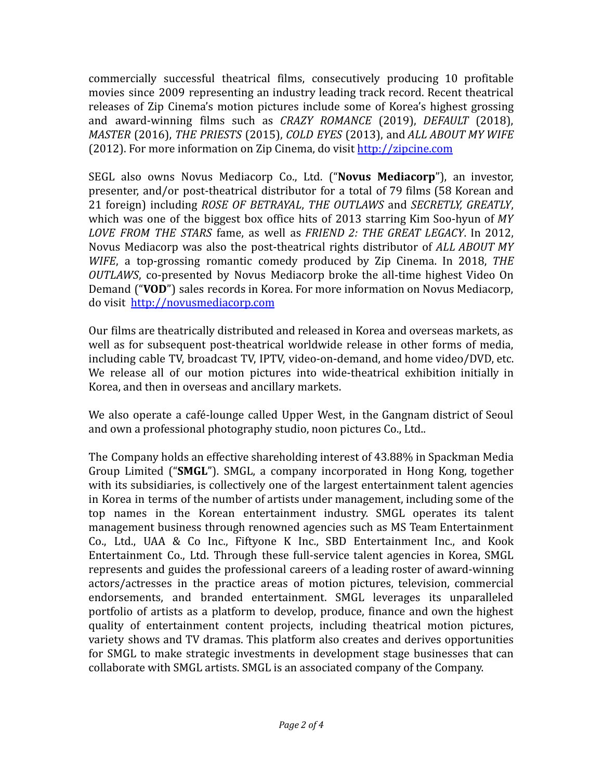commercially successful theatrical films, consecutively producing 10 profitable movies since 2009 representing an industry leading track record. Recent theatrical releases of Zip Cinema's motion pictures include some of Korea's highest grossing and award-winning films such as *CRAZY ROMANCE* (2019), *DEFAULT* (2018), *MASTER* (2016), *THE PRIESTS* (2015), *COLD EYES* (2013), and *ALL ABOUT MY WIFE* (2012). For more information on Zip Cinema, do visit <http://zipcine.com>

SEGL also owns Novus Mediacorp Co., Ltd. ("**Novus Mediacorp**"), an investor, presenter, and/or post-theatrical distributor for a total of 79 films (58 Korean and 21 foreign) including *ROSE OF BETRAYAL*, *THE OUTLAWS* and *SECRETLY, GREATLY*, which was one of the biggest box office hits of 2013 starring Kim Soo-hyun of *MY LOVE FROM THE STARS* fame, as well as *FRIEND 2: THE GREAT LEGACY*. In 2012, Novus Mediacorp was also the post-theatrical rights distributor of *ALL ABOUT MY WIFE*, a top-grossing romantic comedy produced by Zip Cinema. In 2018, *THE OUTLAWS*, co-presented by Novus Mediacorp broke the all-time highest Video On Demand ("**VOD**") sales records in Korea. For more information on Novus Mediacorp, do visit <http://novusmediacorp.com>

Our films are theatrically distributed and released in Korea and overseas markets, as well as for subsequent post-theatrical worldwide release in other forms of media, including cable TV, broadcast TV, IPTV, video-on-demand, and home video/DVD, etc. We release all of our motion pictures into wide-theatrical exhibition initially in Korea, and then in overseas and ancillary markets.

We also operate a café-lounge called Upper West, in the Gangnam district of Seoul and own a professional photography studio, noon pictures Co., Ltd..

The Company holds an effective shareholding interest of 43.88% in Spackman Media Group Limited ("**SMGL**"). SMGL, a company incorporated in Hong Kong, together with its subsidiaries, is collectively one of the largest entertainment talent agencies in Korea in terms of the number of artists under management, including some of the top names in the Korean entertainment industry. SMGL operates its talent management business through renowned agencies such as MS Team Entertainment Co., Ltd., UAA & Co Inc., Fiftyone K Inc., SBD Entertainment Inc., and Kook Entertainment Co., Ltd. Through these full-service talent agencies in Korea, SMGL represents and guides the professional careers of a leading roster of award-winning actors/actresses in the practice areas of motion pictures, television, commercial endorsements, and branded entertainment. SMGL leverages its unparalleled portfolio of artists as a platform to develop, produce, finance and own the highest quality of entertainment content projects, including theatrical motion pictures, variety shows and TV dramas. This platform also creates and derives opportunities for SMGL to make strategic investments in development stage businesses that can collaborate with SMGL artists. SMGL is an associated company of the Company.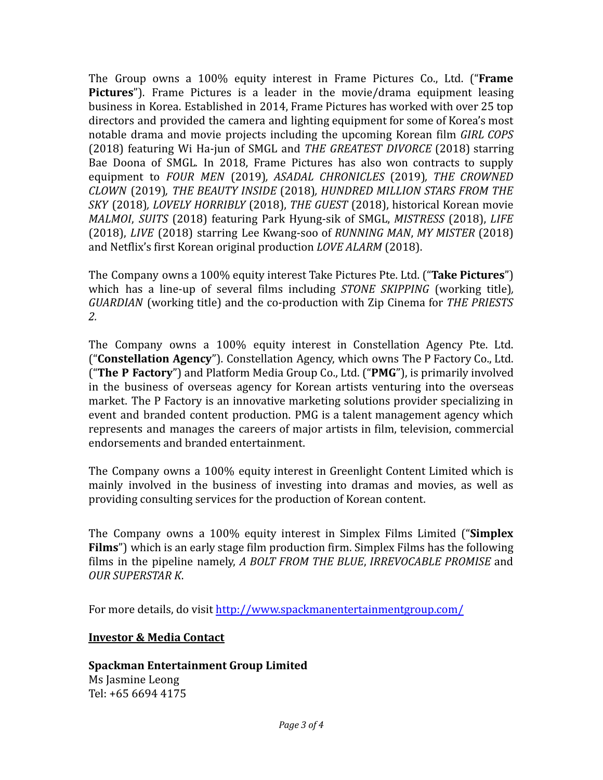The Group owns a 100% equity interest in Frame Pictures Co., Ltd. ("**Frame Pictures**"). Frame Pictures is a leader in the movie/drama equipment leasing business in Korea. Established in 2014, Frame Pictures has worked with over 25 top directors and provided the camera and lighting equipment for some of Korea's most notable drama and movie projects including the upcoming Korean film *GIRL COPS* (2018) featuring Wi Ha-jun of SMGL and *THE GREATEST DIVORCE* (2018) starring Bae Doona of SMGL*.* In 2018, Frame Pictures has also won contracts to supply equipment to *FOUR MEN* (2019)*, ASADAL CHRONICLES* (2019)*, THE CROWNED CLOWN* (2019)*, THE BEAUTY INSIDE* (2018)*, HUNDRED MILLION STARS FROM THE SKY* (2018)*, LOVELY HORRIBLY* (2018), *THE GUEST* (2018), historical Korean movie *MALMOI*, *SUITS* (2018) featuring Park Hyung-sik of SMGL, *MISTRESS* (2018), *LIFE* (2018), *LIVE* (2018) starring Lee Kwang-soo of *RUNNING MAN*, *MY MISTER* (2018) and Netflix's first Korean original production *LOVE ALARM* (2018).

The Company owns a 100% equity interest Take Pictures Pte. Ltd. ("**Take Pictures**") which has a line-up of several films including *STONE SKIPPING* (working title)*, GUARDIAN* (working title) and the co-production with Zip Cinema for *THE PRIESTS 2.*

The Company owns a 100% equity interest in Constellation Agency Pte. Ltd. ("**Constellation Agency**"). Constellation Agency, which owns The P Factory Co., Ltd. ("**The P Factory**") and Platform Media Group Co., Ltd. ("**PMG**"), is primarily involved in the business of overseas agency for Korean artists venturing into the overseas market. The P Factory is an innovative marketing solutions provider specializing in event and branded content production. PMG is a talent management agency which represents and manages the careers of major artists in film, television, commercial endorsements and branded entertainment.

The Company owns a 100% equity interest in Greenlight Content Limited which is mainly involved in the business of investing into dramas and movies, as well as providing consulting services for the production of Korean content.

The Company owns a 100% equity interest in Simplex Films Limited ("**Simplex Films**") which is an early stage film production firm. Simplex Films has the following films in the pipeline namely, *A BOLT FROM THE BLUE*, *IRREVOCABLE PROMISE* and *OUR SUPERSTAR K*.

For more details, do visit <http://www.spackmanentertainmentgroup.com/>

## **Investor & Media Contact**

#### **Spackman Entertainment Group Limited** Ms Jasmine Leong Tel: +65 6694 4175